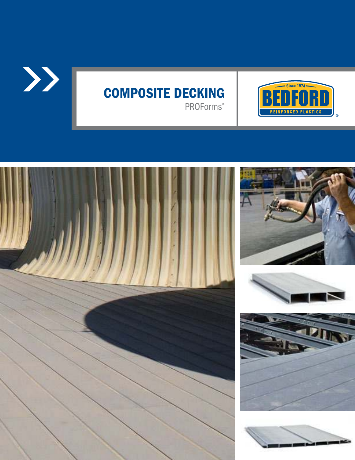

## COMPOSITE DECKING PROForms®









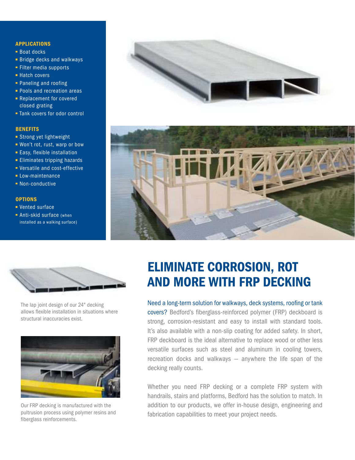### APPLICATIONS

- Boat docks
- **Bridge decks and walkways**
- $\blacksquare$  Filter media supports
- Hatch covers
- **Paneling and roofing**
- **Pools and recreation areas**
- **Replacement for covered** closed grating
- Tank covers for odor control

### **BENEFITS**

- **Strong yet lightweight**
- Won't rot, rust, warp or bow
- **Easy, flexible installation**
- **Eliminates tripping hazards**
- Versatile and cost-effective
- **Low-maintenance**
- **Non-conductive**

### **OPTIONS**

- Vented surface
- **Anti-skid surface (when** installed as a walking surface)







The lap joint design of our 24" decking allows flexible installation in situations where structural inaccuracies exist.



Our FRP decking is manufactured with the pultrusion process using polymer resins and fiberglass reinforcements.

# ELIMINATE CORROSION, ROT AND MORE WITH FRP DECKING

Need a long-term solution for walkways, deck systems, roofing or tank covers? Bedford's fiberglass-reinforced polymer (FRP) deckboard is strong, corrosion-resistant and easy to install with standard tools. It's also available with a non-slip coating for added safety. In short, FRP deckboard is the ideal alternative to replace wood or other less versatile surfaces such as steel and aluminum in cooling towers, recreation docks and walkways — anywhere the life span of the decking really counts.

Whether you need FRP decking or a complete FRP system with handrails, stairs and platforms, Bedford has the solution to match. In addition to our products, we offer in-house design, engineering and fabrication capabilities to meet your project needs.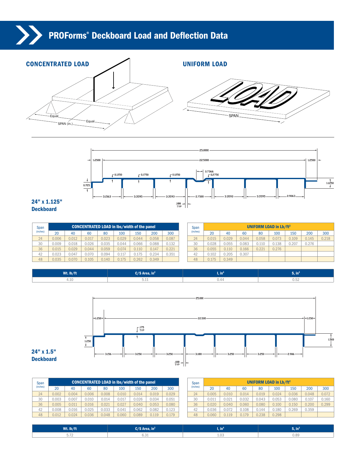### PROForms® Deckboard Load and Deflection Data





### 24" x 1.125" **Deckboard**

| Span     | <b>CONCENTRATED LOAD in lbs/width of the panel</b> |       |       |       |       |       |       |       |  |  |  |  |  |
|----------|----------------------------------------------------|-------|-------|-------|-------|-------|-------|-------|--|--|--|--|--|
| (inches) | 20                                                 | 40    | 60    | 80    | 100   | 150   | 200   | 300   |  |  |  |  |  |
| 24       | 0.006                                              | 0.012 | 0.017 | 0.023 | 0.029 | 0.044 | 0.058 | 0.087 |  |  |  |  |  |
| 30       | 0.009                                              | 0.018 | 0.026 | 0.035 | 0.044 | 0.066 | 0.088 | 0.132 |  |  |  |  |  |
| 36       | 0.015                                              | 0.029 | 0.044 | 0.059 | 0.074 | 0.110 | 0.147 | 0.221 |  |  |  |  |  |
| 42       | 0.023                                              | 0.047 | 0.070 | 0.094 | 0.117 | 0.175 | 0.234 | 0.351 |  |  |  |  |  |
| 48       | 0.035                                              | 0.070 | 0.105 | 0.140 | 0.175 | 0.262 | 0.349 |       |  |  |  |  |  |

| Span     |       |       | <b>UNIFORM LOAD in Lb/ft<sup>2</sup></b> |       |       |       |       |       |
|----------|-------|-------|------------------------------------------|-------|-------|-------|-------|-------|
| (inches) | 20    | 40    | 60                                       | 80    | 100   | 150   | 200   | 300   |
| 24       | 0.015 | 0.029 | 0.044                                    | 0.058 | 0.073 | 0.109 | 0.145 | 0.218 |
| 30       | 0.028 | 0.055 | 0.083                                    | 0.110 | 0.138 | 0.207 | 0.276 |       |
| 36       | 0.055 | 0.110 | 0.166                                    | 0.221 | 0.276 |       |       |       |
| 42       | 0.102 | 0.205 | 0.307                                    |       |       |       |       |       |
| 48       | 0.175 | 0.349 |                                          |       |       |       |       |       |

| Wt. lb/ft | $/$ S Area, in <sup>2</sup> | . ш  | $\cdot$ in $\cdot$ |  |  |
|-----------|-----------------------------|------|--------------------|--|--|
| 4.10      | いしょ                         | U.44 | U.JZ               |  |  |



| Span     |       | <b>CONCENTRATED LOAD in lbs/width of the panel</b> |       |       |       |       |       |       |  | Span     | UNIFORM LOAD in Lb/ft <sup>2</sup> |       |       |       |       |       |       |       |
|----------|-------|----------------------------------------------------|-------|-------|-------|-------|-------|-------|--|----------|------------------------------------|-------|-------|-------|-------|-------|-------|-------|
| (inches) | 20    | 40                                                 | 60    | 80    | 100   | 150   | 200   | 300   |  | (inches) | 20                                 |       |       | 80    | 100   | 150   | 200   | 300   |
| 24       | 0.002 | 0.004                                              | 0.006 | 0.008 | 0.010 | 0.014 | 0.019 | 0.029 |  | 24       | 0.005                              | 0.010 | 0.014 | 0.019 | 0.024 | 0.036 | 0.048 | 0.072 |
| 30       | 0.003 | 0.007                                              | 0.010 | 0.014 | 0.017 | 0.026 | 0.034 | 0.051 |  | 30       | 0.011                              | 0.021 | 0.032 | 0.043 | 0.053 | 0.080 | 0.107 | 0.160 |
| 36       | 0.005 | 0.011                                              | 0.016 | 0.021 | 0.027 | 0.040 | 0.053 | 0.080 |  | 36       | 0.020                              | 0.040 | 0.060 | 0.080 | 0.100 | 0.150 | 0.200 | 0.299 |
| 42       | 0.008 | 0.016                                              | 0.025 | 0.033 | 0.041 | 0.062 | 0.082 | 0.123 |  | 42       | 0.036                              | 0.072 | 0.108 | 0.144 | 0.180 | 0.269 | 0.359 |       |
| 48       | 0.012 | 0.024                                              | 0.036 | 0.048 | 0.060 | 0.089 | 0.119 | 0.179 |  | 48       | 0.060                              | 0.119 | 0.179 | 0.238 | 0.298 |       |       |       |

| Wt. lb/ft               | $C/S$ Area, in <sup>2</sup> | <b>The Contract of Contract</b><br>ı, ın | $\mathbf{S}$ , in <sup>3</sup> |  |  |
|-------------------------|-----------------------------|------------------------------------------|--------------------------------|--|--|
| - -<br>$J \cdot I \neq$ | U.JI                        | L.UJ                                     | 0.89                           |  |  |